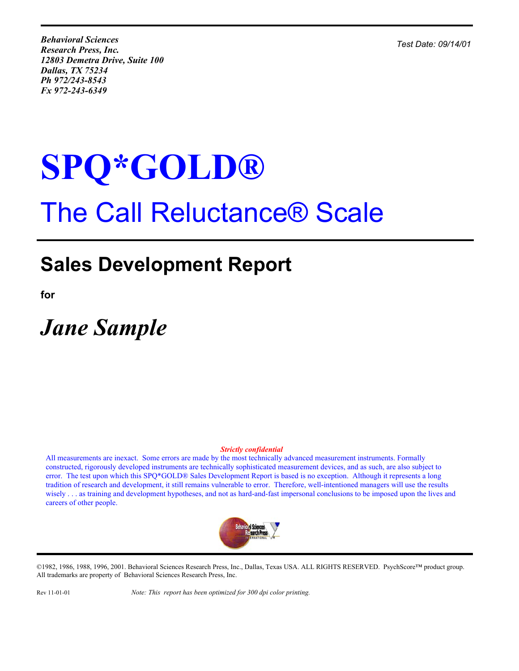*Test Date: 09/14/01*

*Behavioral Sciences Research Press, Inc. 12803 Demetra Drive, Suite 100 Dallas, TX 75234 Ph 972/243-8543 Fx 972-243-6349*

# **SPQ\*GOLD®** The Call Reluctance® Scale

## **Sales Development Report**

**for**

*Jane Sample*

#### *Strictly confidential*

All measurements are inexact. Some errors are made by the most technically advanced measurement instruments. Formally constructed, rigorously developed instruments are technically sophisticated measurement devices, and as such, are also subject to error. The test upon which this SPQ\*GOLD® Sales Development Report is based is no exception. Although it represents a long tradition of research and development, it still remains vulnerable to error. Therefore, well-intentioned managers will use the results wisely . . . as training and development hypotheses, and not as hard-and-fast impersonal conclusions to be imposed upon the lives and careers of other people.



©1982, 1986, 1988, 1996, 2001. Behavioral Sciences Research Press, Inc., Dallas, Texas USA. ALL RIGHTS RESERVED. PsychScore™ product group. All trademarks are property of Behavioral Sciences Research Press, Inc.

Rev 11-01-01 *Note: This report has been optimized for 300 dpi color printing.*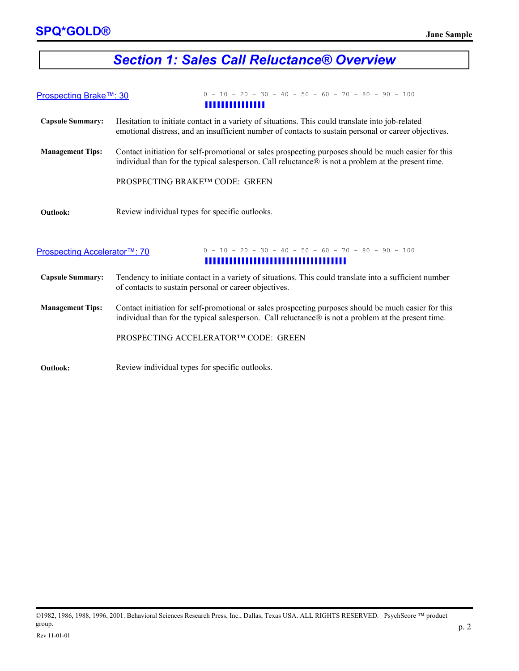#### *Section 1: Sales Call Reluctance® Overview*

| Prospecting Brake™: 30       | $0 - 10 - 20 - 30 - 40 - 50 - 60 - 70 - 80 - 90 - 100$                                                                                                                                                      |  |  |
|------------------------------|-------------------------------------------------------------------------------------------------------------------------------------------------------------------------------------------------------------|--|--|
| ,,,,,,,,,,,,,,               |                                                                                                                                                                                                             |  |  |
| <b>Capsule Summary:</b>      | Hesitation to initiate contact in a variety of situations. This could translate into job-related<br>emotional distress, and an insufficient number of contacts to sustain personal or career objectives.    |  |  |
| <b>Management Tips:</b>      | Contact initiation for self-promotional or sales prospecting purposes should be much easier for this<br>individual than for the typical salesperson. Call reluctance® is not a problem at the present time. |  |  |
|                              | PROSPECTING BRAKE™ CODE: GREEN                                                                                                                                                                              |  |  |
| <b>Outlook:</b>              | Review individual types for specific outlooks.                                                                                                                                                              |  |  |
| Prospecting Accelerator™: 70 | $0 - 10 - 20 - 30 - 40 - 50 - 60 - 70 - 80 - 90 - 100$<br>,,,,,,,,,,,,,,,,,,,,,,,,,,,,,,,,,,,                                                                                                               |  |  |

- **Capsule Summary:** Tendency to initiate contact in a variety of situations. This could translate into a sufficient number of contacts to sustain personal or career objectives.
- **Management Tips:**  Contact initiation for self-promotional or sales prospecting purposes should be much easier for this individual than for the typical salesperson. Call reluctance® is not a problem at the present time.

PROSPECTING ACCELERATOR™ CODE: GREEN

**Outlook:** Review individual types for specific outlooks.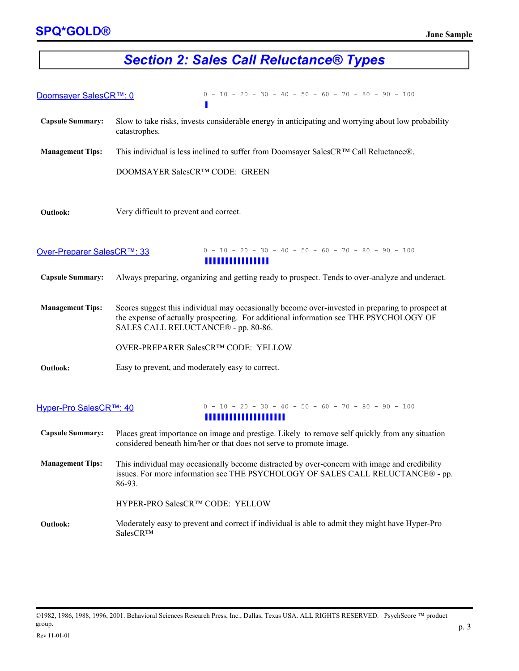## *Section 2: Sales Call Reluctance® Types*

| Doomsayer SalesCR™: 0      | $0 - 10 - 20 - 30 - 40 - 50 - 60 - 70 - 80 - 90 - 100$                                                                                                                                                                           |  |  |  |
|----------------------------|----------------------------------------------------------------------------------------------------------------------------------------------------------------------------------------------------------------------------------|--|--|--|
| <b>Capsule Summary:</b>    | Slow to take risks, invests considerable energy in anticipating and worrying about low probability<br>catastrophes.                                                                                                              |  |  |  |
| <b>Management Tips:</b>    | This individual is less inclined to suffer from Doomsayer SalesCR™ Call Reluctance®.                                                                                                                                             |  |  |  |
|                            | DOOMSAYER SalesCR™ CODE: GREEN                                                                                                                                                                                                   |  |  |  |
| <b>Outlook:</b>            | Very difficult to prevent and correct.                                                                                                                                                                                           |  |  |  |
| Over-Preparer SalesCR™: 33 | $0 - 10 - 20 - 30 - 40 - 50 - 60 - 70 - 80 - 90 - 100$<br>,,,,,,,,,,,,,,,,                                                                                                                                                       |  |  |  |
| <b>Capsule Summary:</b>    | Always preparing, organizing and getting ready to prospect. Tends to over-analyze and underact.                                                                                                                                  |  |  |  |
| <b>Management Tips:</b>    | Scores suggest this individual may occasionally become over-invested in preparing to prospect at<br>the expense of actually prospecting. For additional information see THE PSYCHOLOGY OF<br>SALES CALL RELUCTANCE® - pp. 80-86. |  |  |  |
|                            | OVER-PREPARER SalesCR™ CODE: YELLOW                                                                                                                                                                                              |  |  |  |
| <b>Outlook:</b>            | Easy to prevent, and moderately easy to correct.                                                                                                                                                                                 |  |  |  |
| Hyper-Pro SalesCR™: 40     | $0 - 10 - 20 - 30 - 40 - 50 - 60 - 70 - 80 - 90 - 100$<br>,,,,,,,,,,,,,,,,,,,,,,                                                                                                                                                 |  |  |  |
| <b>Capsule Summary:</b>    | Places great importance on image and prestige. Likely to remove self quickly from any situation<br>considered beneath him/her or that does not serve to promote image.                                                           |  |  |  |
| <b>Management Tips:</b>    | This individual may occasionally become distracted by over-concern with image and credibility                                                                                                                                    |  |  |  |

issues. For more information see THE PSYCHOLOGY OF SALES CALL RELUCTANCE® - pp. 86-93.

HYPER-PRO SalesCR™ CODE: YELLOW

**Outlook:** Moderately easy to prevent and correct if individual is able to admit they might have Hyper-Pro SalesCR™

<sup>©1982, 1986, 1988, 1996, 2001.</sup> Behavioral Sciences Research Press, Inc., Dallas, Texas USA. ALL RIGHTS RESERVED. PsychScore ™ product group.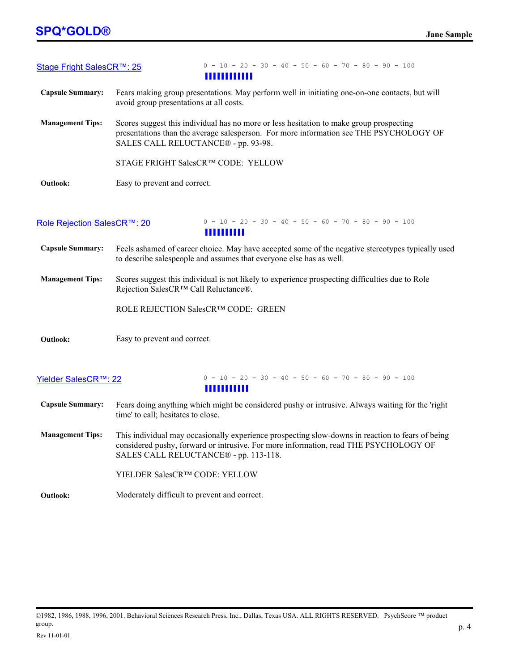| Stage Fright SalesCR™: 25   | $0 - 10 - 20 - 30 - 40 - 50 - 60 - 70 - 80 - 90 - 100$                                                                                                                                                                            |  |  |  |
|-----------------------------|-----------------------------------------------------------------------------------------------------------------------------------------------------------------------------------------------------------------------------------|--|--|--|
|                             | ,,,,,,,,,,,,,                                                                                                                                                                                                                     |  |  |  |
| <b>Capsule Summary:</b>     | Fears making group presentations. May perform well in initiating one-on-one contacts, but will<br>avoid group presentations at all costs.                                                                                         |  |  |  |
| <b>Management Tips:</b>     | Scores suggest this individual has no more or less hesitation to make group prospecting<br>presentations than the average salesperson. For more information see THE PSYCHOLOGY OF<br>SALES CALL RELUCTANCE® - pp. 93-98.          |  |  |  |
|                             | STAGE FRIGHT SalesCR™ CODE: YELLOW                                                                                                                                                                                                |  |  |  |
| Outlook:                    | Easy to prevent and correct.                                                                                                                                                                                                      |  |  |  |
| Role Rejection SalesCR™: 20 | $0 - 10 - 20 - 30 - 40 - 50 - 60 - 70 - 80 - 90 - 100$<br><b>HIIIIIIII</b>                                                                                                                                                        |  |  |  |
| <b>Capsule Summary:</b>     | Feels ashamed of career choice. May have accepted some of the negative stereotypes typically used<br>to describe salespeople and assumes that everyone else has as well.                                                          |  |  |  |
| <b>Management Tips:</b>     | Scores suggest this individual is not likely to experience prospecting difficulties due to Role<br>Rejection SalesCR™ Call Reluctance®.                                                                                           |  |  |  |
|                             | ROLE REJECTION SalesCR™ CODE: GREEN                                                                                                                                                                                               |  |  |  |
| <b>Outlook:</b>             | Easy to prevent and correct.                                                                                                                                                                                                      |  |  |  |
| Yielder SalesCR™: 22        | $0 - 10 - 20 - 30 - 40 - 50 - 60 - 70 - 80 - 90 - 100$<br><b>HIIIIIIII</b>                                                                                                                                                        |  |  |  |
| <b>Capsule Summary:</b>     | Fears doing anything which might be considered pushy or intrusive. Always waiting for the 'right<br>time' to call; hesitates to close.                                                                                            |  |  |  |
| <b>Management Tips:</b>     | This individual may occasionally experience prospecting slow-downs in reaction to fears of being<br>considered pushy, forward or intrusive. For more information, read THE PSYCHOLOGY OF<br>SALES CALL RELUCTANCE® - pp. 113-118. |  |  |  |
|                             | YIELDER SalesCR™ CODE: YELLOW                                                                                                                                                                                                     |  |  |  |
| Outlook:                    | Moderately difficult to prevent and correct.                                                                                                                                                                                      |  |  |  |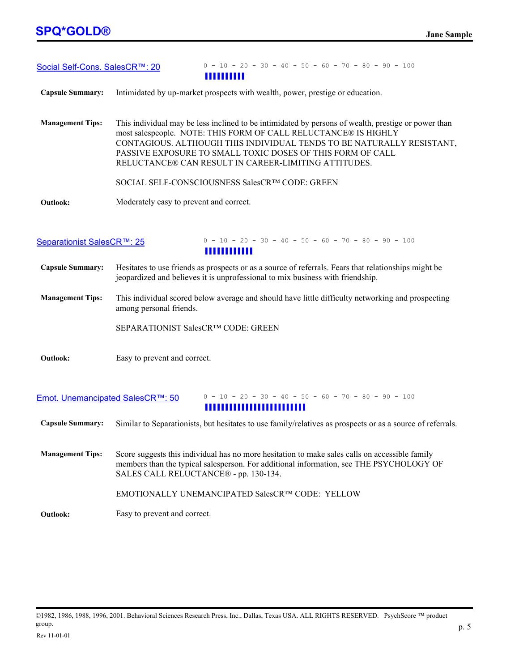| Social Self-Cons. SalesCR™: 20   | $0 - 10 - 20 - 30 - 40 - 50 - 60 - 70 - 80 - 90 - 100$                                                                                                                                                                                                                                                                                                                |  |  |  |  |
|----------------------------------|-----------------------------------------------------------------------------------------------------------------------------------------------------------------------------------------------------------------------------------------------------------------------------------------------------------------------------------------------------------------------|--|--|--|--|
| <b>Capsule Summary:</b>          | Intimidated by up-market prospects with wealth, power, prestige or education.                                                                                                                                                                                                                                                                                         |  |  |  |  |
| <b>Management Tips:</b>          | This individual may be less inclined to be intimidated by persons of wealth, prestige or power than<br>most salespeople. NOTE: THIS FORM OF CALL RELUCTANCE® IS HIGHLY<br>CONTAGIOUS. ALTHOUGH THIS INDIVIDUAL TENDS TO BE NATURALLY RESISTANT,<br>PASSIVE EXPOSURE TO SMALL TOXIC DOSES OF THIS FORM OF CALL<br>RELUCTANCE® CAN RESULT IN CAREER-LIMITING ATTITUDES. |  |  |  |  |
|                                  | SOCIAL SELF-CONSCIOUSNESS SalesCRTM CODE: GREEN                                                                                                                                                                                                                                                                                                                       |  |  |  |  |
| Outlook:                         | Moderately easy to prevent and correct.                                                                                                                                                                                                                                                                                                                               |  |  |  |  |
| Separationist SalesCR™: 25       | $0 - 10 - 20 - 30 - 40 - 50 - 60 - 70 - 80 - 90 - 100$<br>,,,,,,,,,,,,                                                                                                                                                                                                                                                                                                |  |  |  |  |
| <b>Capsule Summary:</b>          | Hesitates to use friends as prospects or as a source of referrals. Fears that relationships might be<br>jeopardized and believes it is unprofessional to mix business with friendship.                                                                                                                                                                                |  |  |  |  |
| <b>Management Tips:</b>          | This individual scored below average and should have little difficulty networking and prospecting<br>among personal friends.                                                                                                                                                                                                                                          |  |  |  |  |
|                                  | SEPARATIONIST SalesCR™ CODE: GREEN                                                                                                                                                                                                                                                                                                                                    |  |  |  |  |
| Outlook:                         | Easy to prevent and correct.                                                                                                                                                                                                                                                                                                                                          |  |  |  |  |
| Emot. Unemancipated SalesCR™: 50 | $0 - 10 - 20 - 30 - 40 - 50 - 60 - 70 - 80 - 90 - 100$<br>,,,,,,,,,,,,,,,,,,,,,,,,,                                                                                                                                                                                                                                                                                   |  |  |  |  |
| <b>Capsule Summary:</b>          | Similar to Separationists, but hesitates to use family/relatives as prospects or as a source of referrals.                                                                                                                                                                                                                                                            |  |  |  |  |
| <b>Management Tips:</b>          | Score suggests this individual has no more hesitation to make sales calls on accessible family<br>members than the typical salesperson. For additional information, see THE PSYCHOLOGY OF<br>SALES CALL RELUCTANCE® - pp. 130-134.                                                                                                                                    |  |  |  |  |
|                                  | EMOTIONALLY UNEMANCIPATED SalesCRTM CODE: YELLOW                                                                                                                                                                                                                                                                                                                      |  |  |  |  |
| Outlook:                         | Easy to prevent and correct.                                                                                                                                                                                                                                                                                                                                          |  |  |  |  |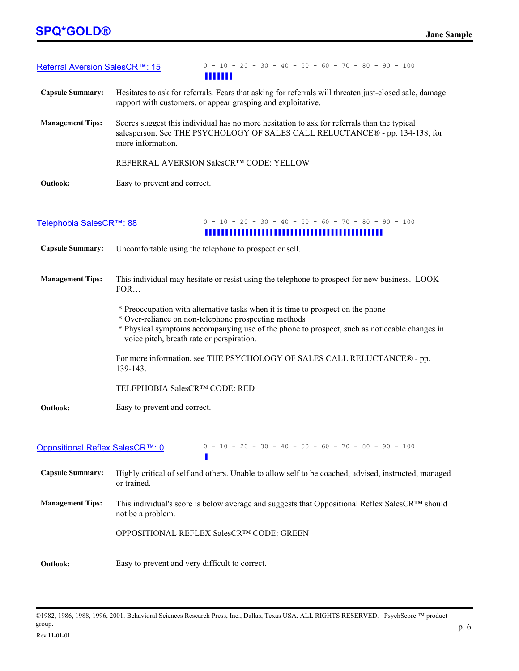#### **SPQ\*GOLD® Jane Sample**

| Referral Aversion SalesCR™: 15  | $0 - 10 - 20 - 30 - 40 - 50 - 60 - 70 - 80 - 90 - 100$<br>,,,,,,,                                                                                                                                                                                                                    |  |  |
|---------------------------------|--------------------------------------------------------------------------------------------------------------------------------------------------------------------------------------------------------------------------------------------------------------------------------------|--|--|
| <b>Capsule Summary:</b>         | Hesitates to ask for referrals. Fears that asking for referrals will threaten just-closed sale, damage<br>rapport with customers, or appear grasping and exploitative.                                                                                                               |  |  |
| <b>Management Tips:</b>         | Scores suggest this individual has no more hesitation to ask for referrals than the typical<br>salesperson. See THE PSYCHOLOGY OF SALES CALL RELUCTANCE® - pp. 134-138, for<br>more information.                                                                                     |  |  |
|                                 | REFERRAL AVERSION SalesCR™ CODE: YELLOW                                                                                                                                                                                                                                              |  |  |
| Outlook:                        | Easy to prevent and correct.                                                                                                                                                                                                                                                         |  |  |
| Telephobia SalesCR™: 88         | $0 - 10 - 20 - 30 - 40 - 50 - 60 - 70 - 80 - 90 - 100$                                                                                                                                                                                                                               |  |  |
| <b>Capsule Summary:</b>         | Uncomfortable using the telephone to prospect or sell.                                                                                                                                                                                                                               |  |  |
|                                 |                                                                                                                                                                                                                                                                                      |  |  |
| <b>Management Tips:</b>         | This individual may hesitate or resist using the telephone to prospect for new business. LOOK<br>FOR                                                                                                                                                                                 |  |  |
|                                 | * Preoccupation with alternative tasks when it is time to prospect on the phone<br>* Over-reliance on non-telephone prospecting methods<br>* Physical symptoms accompanying use of the phone to prospect, such as noticeable changes in<br>voice pitch, breath rate or perspiration. |  |  |
|                                 | For more information, see THE PSYCHOLOGY OF SALES CALL RELUCTANCE® - pp.<br>139-143.                                                                                                                                                                                                 |  |  |
|                                 | TELEPHOBIA SalesCR™ CODE: RED                                                                                                                                                                                                                                                        |  |  |
| Outlook:                        | Easy to prevent and correct.                                                                                                                                                                                                                                                         |  |  |
| Oppositional Reflex SalesCR™: 0 | $0 - 10 - 20 - 30 - 40 - 50 - 60 - 70 - 80 - 90 - 100$                                                                                                                                                                                                                               |  |  |
| <b>Capsule Summary:</b>         | Highly critical of self and others. Unable to allow self to be coached, advised, instructed, managed<br>or trained.                                                                                                                                                                  |  |  |
| <b>Management Tips:</b>         | This individual's score is below average and suggests that Oppositional Reflex SalesCR™ should<br>not be a problem.                                                                                                                                                                  |  |  |
|                                 | OPPOSITIONAL REFLEX SalesCR™ CODE: GREEN                                                                                                                                                                                                                                             |  |  |
| <b>Outlook:</b>                 | Easy to prevent and very difficult to correct.                                                                                                                                                                                                                                       |  |  |

<sup>©1982, 1986, 1988, 1996, 2001.</sup> Behavioral Sciences Research Press, Inc., Dallas, Texas USA. ALL RIGHTS RESERVED. PsychScore ™ product group.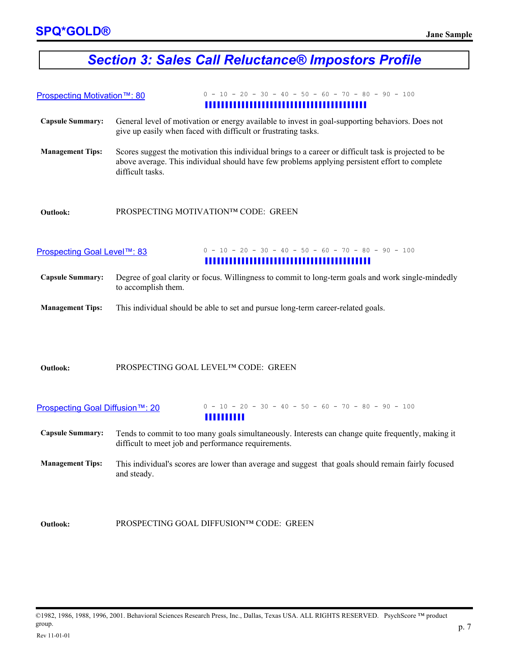### *Section 3: Sales Call Reluctance® Impostors Profile*

| Prospecting Motivation™: 80 | $0 - 10 - 20 - 30 - 40 - 50 - 60 - 70 - 80 - 90 - 100$                                                                                                                                                                                                                                        |  |  |  |
|-----------------------------|-----------------------------------------------------------------------------------------------------------------------------------------------------------------------------------------------------------------------------------------------------------------------------------------------|--|--|--|
| <b>Capsule Summary:</b>     | General level of motivation or energy available to invest in goal-supporting behaviors. Does not                                                                                                                                                                                              |  |  |  |
| <b>Management Tips:</b>     | give up easily when faced with difficult or frustrating tasks.<br>Scores suggest the motivation this individual brings to a career or difficult task is projected to be<br>above average. This individual should have few problems applying persistent effort to complete<br>difficult tasks. |  |  |  |
| <b>Outlook:</b>             | PROSPECTING MOTIVATIONTM CODE: GREEN                                                                                                                                                                                                                                                          |  |  |  |
| Prospecting Goal Level™: 83 | $0 - 10 - 20 - 30 - 40 - 50 - 60 - 70 - 80 - 90 - 100$                                                                                                                                                                                                                                        |  |  |  |

- **Capsule Summary:** Degree of goal clarity or focus. Willingness to commit to long-term goals and work single-mindedly to accomplish them.
- **Management Tips:**  This individual should be able to set and pursue long-term career-related goals.

#### **Outlook:** PROSPECTING GOAL LEVEL™ CODE: GREEN

| Prospecting Goal Diffusion™: 20 | $0 - 10 - 20 - 30 - 40 - 50 - 60 - 70 - 80 - 90 - 100$                                                                                                                  |
|---------------------------------|-------------------------------------------------------------------------------------------------------------------------------------------------------------------------|
| <b>Capsule Summary:</b>         | ,,,,,,,,,,<br>Tends to commit to too many goals simultaneously. Interests can change quite frequently, making it<br>difficult to meet job and performance requirements. |
| <b>Management Tips:</b>         | This individual's scores are lower than average and suggest that goals should remain fairly focused<br>and steady.                                                      |
|                                 |                                                                                                                                                                         |

**Outlook:** PROSPECTING GOAL DIFFUSION™ CODE: GREEN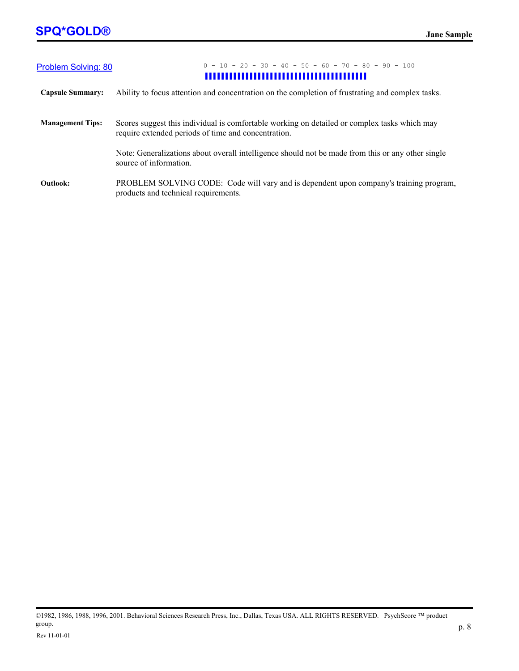| Problem Solving: 80     | $0 - 10 - 20 - 30 - 40 - 50 - 60 - 70 - 80 - 90 - 100$                                                                                              |  |  |
|-------------------------|-----------------------------------------------------------------------------------------------------------------------------------------------------|--|--|
| <b>Capsule Summary:</b> | Ability to focus attention and concentration on the completion of frustrating and complex tasks.                                                    |  |  |
| <b>Management Tips:</b> | Scores suggest this individual is comfortable working on detailed or complex tasks which may<br>require extended periods of time and concentration. |  |  |
|                         | Note: Generalizations about overall intelligence should not be made from this or any other single<br>source of information.                         |  |  |
| <b>Outlook:</b>         | PROBLEM SOLVING CODE: Code will vary and is dependent upon company's training program,<br>products and technical requirements.                      |  |  |

©1982, 1986, 1988, 1996, 2001. Behavioral Sciences Research Press, Inc., Dallas, Texas USA. ALL RIGHTS RESERVED. PsychScore ™ product group.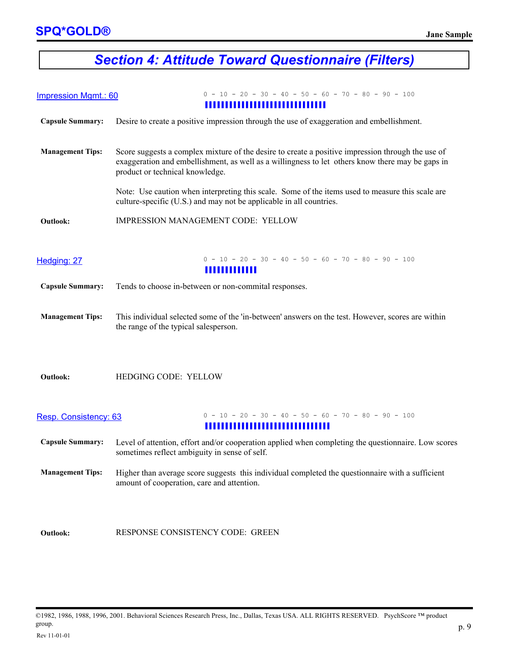## *Section 4: Attitude Toward Questionnaire (Filters)*

| <b>Impression Mgmt.: 60</b> | $0 - 10 - 20 - 30 - 40 - 50 - 60 - 70 - 80 - 90 - 100$<br>,,,,,,,,,,,,,,,,,,,,,,,,,,,,,                                                                                                                                                  |
|-----------------------------|------------------------------------------------------------------------------------------------------------------------------------------------------------------------------------------------------------------------------------------|
| <b>Capsule Summary:</b>     | Desire to create a positive impression through the use of exaggeration and embellishment.                                                                                                                                                |
| <b>Management Tips:</b>     | Score suggests a complex mixture of the desire to create a positive impression through the use of<br>exaggeration and embellishment, as well as a willingness to let others know there may be gaps in<br>product or technical knowledge. |
|                             | Note: Use caution when interpreting this scale. Some of the items used to measure this scale are<br>culture-specific (U.S.) and may not be applicable in all countries.                                                                  |
| <b>Outlook:</b>             | IMPRESSION MANAGEMENT CODE: YELLOW                                                                                                                                                                                                       |
| Hedging: 27                 | $0 - 10 - 20 - 30 - 40 - 50 - 60 - 70 - 80 - 90 - 100$<br>,,,,,,,,,,,,,                                                                                                                                                                  |
| <b>Capsule Summary:</b>     | Tends to choose in-between or non-commital responses.                                                                                                                                                                                    |
| <b>Management Tips:</b>     | This individual selected some of the 'in-between' answers on the test. However, scores are within<br>the range of the typical salesperson.                                                                                               |
| <b>Outlook:</b>             | HEDGING CODE: YELLOW                                                                                                                                                                                                                     |
| Resp. Consistency: 63       | $0 - 10 - 20 - 30 - 40 - 50 - 60 - 70 - 80 - 90 - 100$<br>,,,,,,,,,,,,,,,,,,,,,,,,,,,,,                                                                                                                                                  |
| <b>Capsule Summary:</b>     | Level of attention, effort and/or cooperation applied when completing the questionnaire. Low scores<br>sometimes reflect ambiguity in sense of self.                                                                                     |
| <b>Management Tips:</b>     | Higher than average score suggests this individual completed the questionnaire with a sufficient<br>amount of cooperation, care and attention.                                                                                           |
|                             |                                                                                                                                                                                                                                          |
| <b>Outlook:</b>             | RESPONSE CONSISTENCY CODE: GREEN                                                                                                                                                                                                         |

©1982, 1986, 1988, 1996, 2001. Behavioral Sciences Research Press, Inc., Dallas, Texas USA. ALL RIGHTS RESERVED. PsychScore ™ product group.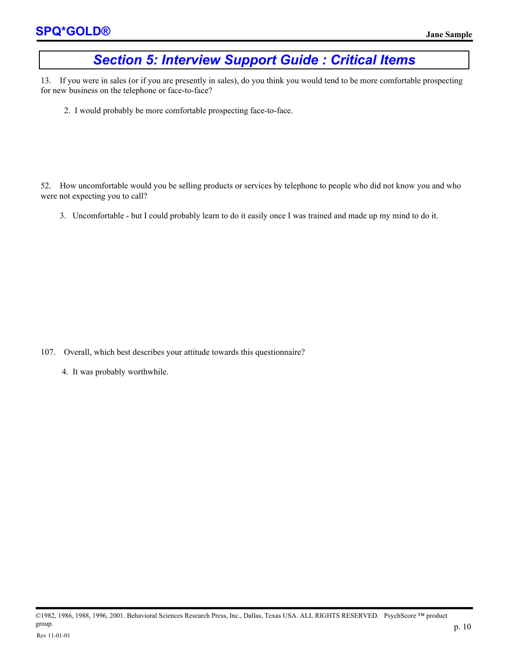#### *Section 5: Interview Support Guide : Critical Items*

13. If you were in sales (or if you are presently in sales), do you think you would tend to be more comfortable prospecting for new business on the telephone or face-to-face?

2. I would probably be more comfortable prospecting face-to-face.

52. How uncomfortable would you be selling products or services by telephone to people who did not know you and who were not expecting you to call?

3. Uncomfortable - but I could probably learn to do it easily once I was trained and made up my mind to do it.

- 107. Overall, which best describes your attitude towards this questionnaire?
	- 4. It was probably worthwhile.